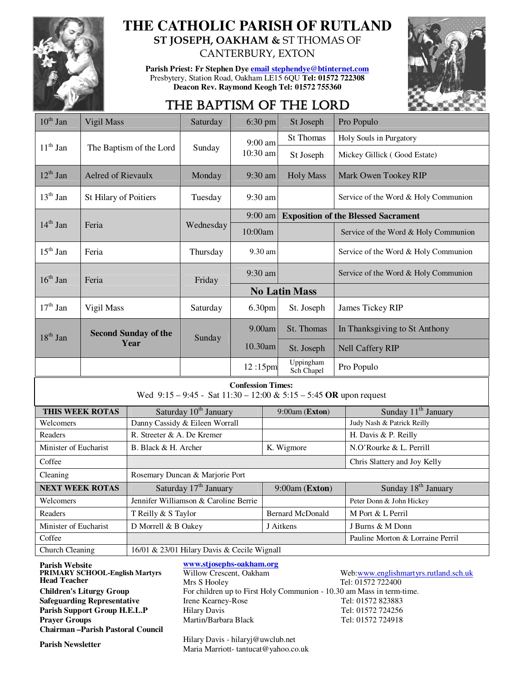

# **THE CATHOLIC PARISH OF RUTLAND ST JOSEPH, OAKHAM &** ST THOMAS OF

CANTERBURY, EXTON

**Parish Priest: Fr Stephen Dye email stephendye@btinternet.com** Presbytery, Station Road, Oakham LE15 6QU **Tel: 01572 722308 Deacon Rev. Raymond Keogh Tel: 01572 755360** 



# THE BAPTISM OF THE LORD

| $10^{th}$ Jan        | Vigil Mass                  | Saturday  | $6:30$ pm          | St Joseph               | Pro Populo                                 |  |
|----------------------|-----------------------------|-----------|--------------------|-------------------------|--------------------------------------------|--|
|                      |                             |           | 9:00 am            | St Thomas               | Holy Souls in Purgatory                    |  |
| $11th$ Jan           | The Baptism of the Lord     | Sunday    | 10:30 am           | St Joseph               | Mickey Gillick (Good Estate)               |  |
| $12^{th}$ Jan        | <b>Aelred of Rievaulx</b>   | Monday    | $9:30$ am          | <b>Holy Mass</b>        | Mark Owen Tookey RIP                       |  |
| $13^{\text{th}}$ Jan | St Hilary of Poitiers       | Tuesday   | $9:30$ am          |                         | Service of the Word & Holy Communion       |  |
|                      |                             |           | $9:00$ am          |                         | <b>Exposition of the Blessed Sacrament</b> |  |
| $14th$ Jan           | Feria                       | Wednesday | 10:00am            | <b>No Latin Mass</b>    | Service of the Word & Holy Communion       |  |
| $15th$ Jan           | Feria                       | Thursday  | 9.30 am            |                         | Service of the Word & Holy Communion       |  |
| $16th$ Jan           | Feria                       | Friday    | $9:30$ am          |                         | Service of the Word & Holy Communion       |  |
|                      |                             |           |                    |                         |                                            |  |
| $17th$ Jan           | Vigil Mass                  | Saturday  | 6.30 <sub>pm</sub> | St. Joseph              | James Tickey RIP                           |  |
| $18^{th}$ Jan        | <b>Second Sunday of the</b> | Sunday    | $9.00$ am          | St. Thomas              | In Thanksgiving to St Anthony              |  |
|                      | Year                        |           | $10.30$ am         | St. Joseph              | <b>Nell Caffery RIP</b>                    |  |
|                      |                             |           | 12:15pm            | Uppingham<br>Sch Chapel | Pro Populo                                 |  |
| Confeccion Times     |                             |           |                    |                         |                                            |  |

### **Confession Times:**

Wed 9:15 – 9:45 - Sat 11:30 – 12:00 & 5:15 – 5:45 **OR** upon request

| THIS WEEK ROTAS        | Saturday 10 <sup>th</sup> January           | $9:00$ am ( <b>Exton</b> ) | Sunday 11 <sup>th</sup> January  |  |  |
|------------------------|---------------------------------------------|----------------------------|----------------------------------|--|--|
| Welcomers              | Danny Cassidy & Eileen Worrall              |                            | Judy Nash & Patrick Reilly       |  |  |
| Readers                | R. Streeter & A. De Kremer                  |                            | H. Davis & P. Reilly             |  |  |
| Minister of Eucharist  | B. Black & H. Archer                        | K. Wigmore                 | N.O'Rourke & L. Perrill          |  |  |
| Coffee                 |                                             |                            | Chris Slattery and Joy Kelly     |  |  |
| Cleaning               | Rosemary Duncan & Marjorie Port             |                            |                                  |  |  |
| <b>NEXT WEEK ROTAS</b> | Saturday $17th$ January                     | $9:00$ am (Exton)          | Sunday 18 <sup>th</sup> January  |  |  |
| Welcomers              | Jennifer Williamson & Caroline Berrie       |                            | Peter Donn & John Hickey         |  |  |
| Readers                | T Reilly & S Taylor                         | <b>Bernard McDonald</b>    | M Port & L Perril                |  |  |
| Minister of Eucharist  | D Morrell & B Oakey                         | J Aitkens                  | J Burns & M Donn                 |  |  |
| Coffee                 |                                             |                            | Pauline Morton & Lorraine Perril |  |  |
| Church Cleaning        | 16/01 & 23/01 Hilary Davis & Cecile Wignall |                            |                                  |  |  |

**Parish Website**<br> **PRIMARY SCHOOL-English Martyrs**Willow Crescent, Oakham **PRIMARY SCHOOL-English Martyrs Head Teacher** Willow Crescent, Oakham Web:www.englishmartyrs.rutland.sch.uk<br>Mrs S Hooley Tel: 01572 722400 Tel: 01572 722400 **Children's Liturgy Group** For children up to First Holy Communion - 10.30 am Mass in term-time.<br> **Safeguarding Representative** Irene Kearney-Rose Tel: 01572 823883 **Safeguarding Representative** Irene Kearney-Rose Tel: 01572 823883<br> **Parish Support Group H.E.L.P** Hilary Davis Tel: 01572 724256 Parish Support Group H.E.L.P **Prayer Groups** Martin/Barbara Black Tel: 01572 724918 **Chairman –Parish Pastoral Council Parish Newsletter Parish Newsletter Hilary Davis - hilaryj@uwclub.net** Maria Marriott- tantucat@yahoo.co.uk